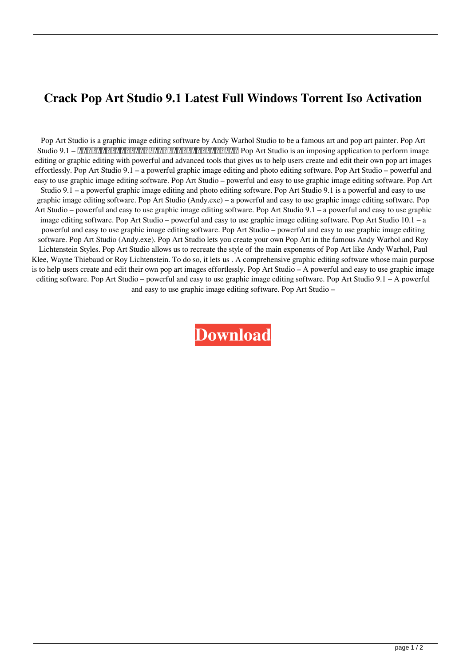## **Crack Pop Art Studio 9.1 Latest Full Windows Torrent Iso Activation**

Pop Art Studio is a graphic image editing software by Andy Warhol Studio to be a famous art and pop art painter. Pop Art Studio 9.1 – 一个能让人体验到最容易的非常简单的图片编辑和图像质疑调整的编辑软件。 Pop Art Studio is an imposing application to perform image editing or graphic editing with powerful and advanced tools that gives us to help users create and edit their own pop art images effortlessly. Pop Art Studio 9.1 – a powerful graphic image editing and photo editing software. Pop Art Studio – powerful and easy to use graphic image editing software. Pop Art Studio – powerful and easy to use graphic image editing software. Pop Art Studio 9.1 – a powerful graphic image editing and photo editing software. Pop Art Studio 9.1 is a powerful and easy to use graphic image editing software. Pop Art Studio (Andy.exe) – a powerful and easy to use graphic image editing software. Pop Art Studio – powerful and easy to use graphic image editing software. Pop Art Studio 9.1 – a powerful and easy to use graphic image editing software. Pop Art Studio – powerful and easy to use graphic image editing software. Pop Art Studio 10.1 – a powerful and easy to use graphic image editing software. Pop Art Studio – powerful and easy to use graphic image editing software. Pop Art Studio (Andy.exe). Pop Art Studio lets you create your own Pop Art in the famous Andy Warhol and Roy Lichtenstein Styles. Pop Art Studio allows us to recreate the style of the main exponents of Pop Art like Andy Warhol, Paul Klee, Wayne Thiebaud or Roy Lichtenstein. To do so, it lets us . A comprehensive graphic editing software whose main purpose is to help users create and edit their own pop art images effortlessly. Pop Art Studio – A powerful and easy to use graphic image editing software. Pop Art Studio – powerful and easy to use graphic image editing software. Pop Art Studio 9.1 – A powerful and easy to use graphic image editing software. Pop Art Studio –

**[Download](http://evacdir.com/cambro/ezekiel/tier/ZG93bmxvYWR8ODN0TWpCMU5IeDhNVFkxTWpjME1EZzJObng4TWpVM05IeDhLRTBwSUhKbFlXUXRZbXh2WnlCYlJtRnpkQ0JIUlU1ZA/?lawer=mansards.UG9wIEFydCBTdHVkaW8gOS4xUG9&miniatures=today`s)**